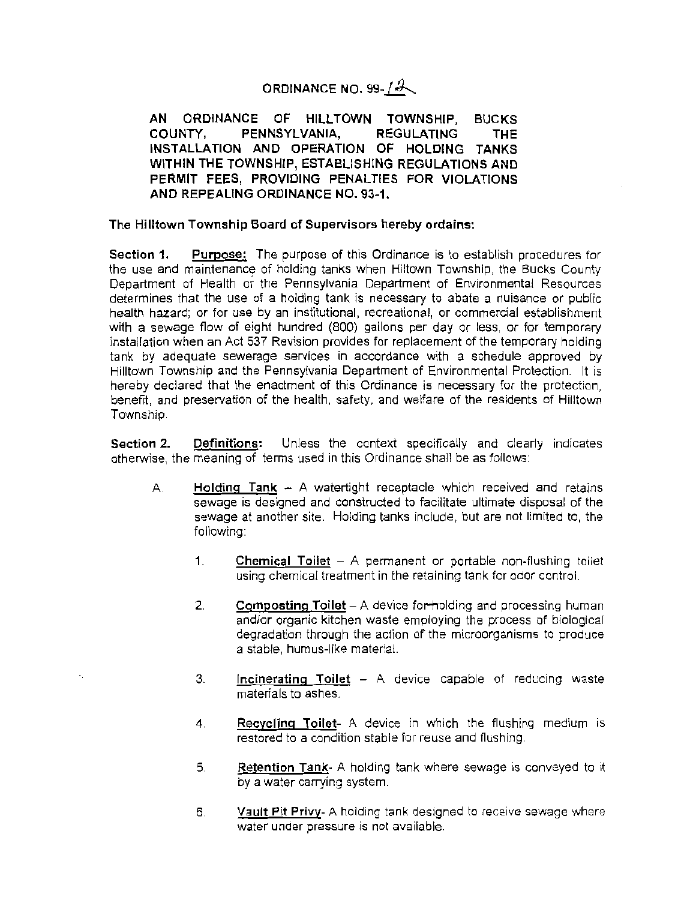## **ORDINANCE NO. 99-** ( ~

**AN ORDINANCE OF HILLTOWN TOWNSHIP, BUCKS COUNTY, PENNSYLVANIA, REGULATING THE INSTALLATION AND OPERATION OF HOLDING TANKS WITHIN THE TOWNSHIP, ESTABLISHING REGULATIONS AND PERMIT FEES, PROVIDING PENALTIES FOR VIOLATIONS AND REPEALING ORDINANCE NO. 93-1.** 

**The Hilltown Township Board of Supervisors hereby ordains:** 

**Section 1. Purpose:** The purpose of this Ordinance is to establish procedures for the use and maintenance of holding tanks when Hiltown Township, the Bucks County Department of Health or the Pennsylvania Department of Environmental Resources determines that the use of a holding tank is necessary to abate a nuisance or public health hazard; or for use by an institutional, recreational, or commercial establishment with a sewage flow of eight hundred (800) gallons per day or less, or for temporary installation when an Act 537 Revision provides for replacement of the temporary holding tank by adequate sewerage services in accordance with a schedule approved by Hilltown Township and the Pennsylvania Department of Environmental Protection. It is hereby declared that the enactment of this Ordinance is necessary for the protection, benefit, and preservation of the health, safety, and welfare of the residents of Hilltown Township.

**Section 2. Definitions:** Unless the context specifically and clearly indicates otherwise, the meaning of terms used in this Ordinance shall be as follows:

- A. **Holding Tank**  A watertight receptacle which received and retains sewage is designed and constructed to facilitate ultimate disposal of the sewage at another site. Holding tanks include, but are not limited to, the following:
	- 1. **Chemical Toilet** - A permanent or portable non-flushing toilet using chemical treatment in the retaining tank for odor control.
	- 2. **Composting Toilet** – A device for-holding and processing human and/or organic kitchen waste employing the process of biological degradation through the action of the microorganisms to produce a stable, humus-like material.
	- 3. **Incinerating Toilet** - A device capable of reducing waste materials to ashes.
	- 4. **Recycling Toilet-** A device in which the flushing medium is restored to a condition stable for reuse and flushing.
	- 5. **Retention Tank-** A holding tank where sewage is conveyed to it by a water carrying system.
	- 6. **Vault Pit Privy-** A holding tank designed to receive sewage where water under pressure is not available.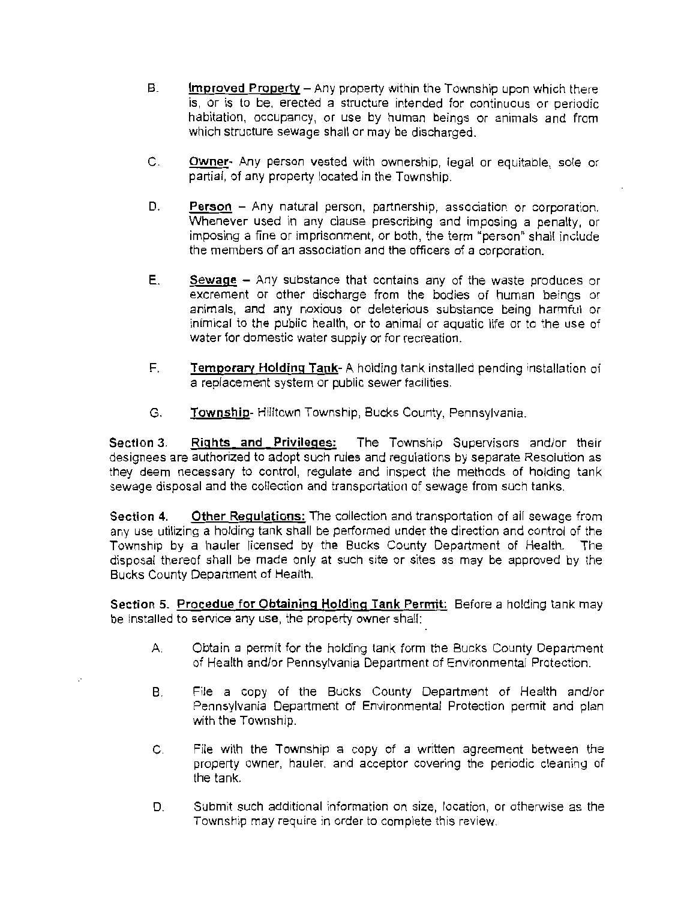- B. **Improved** Property- Any property within the Township upon which there is, or is to be, erected a structure intended for continuous or periodic habitation, occupancy, or use by human beings or animals and from which structure sewage shall or may be discharged.
- C. **Owner·** Any person vested with ownership, legal or equitable, sole or partial, of any property located in the Township.
- D. **Person**  Any natural person, partnership, association or corporation. Whenever used in any clause prescribing and imposing a penalty, or imposing a fine or imprisonment, or both, the term "person" shall include the members of an association and the officers of a corporation.
- E. **Sewage**  Any substance that contains any of the waste produces or excrement or other discharge from the bodies of human beings or animals, and any noxious or deleterious substance being harmful or inimical to the public health, or to animal or aquatic life or to the use of water for domestic water supply or for recreation.
- F. **Temporary Holding Tank-** A holding tank installed pending installation of a replacement system or public sewer facilities .
- G. **Township-Hilltown Township, Bucks County, Pennsylvania.**

**Section 3. Rights and Privileges:** The Township Supervisors and/or their designees are authorized to adopt such rules and regulations by separate Resolution as they deem necessary to control, regulate and inspect the methods of holding tank sewage disposal and the collection and transportation of sewage from such tanks.

**Section 4. Other Regulations:** The collection and transportation of all sewage from any use utilizing a holding tank shall be performed under the direction and control of the Township by a hauler licensed by the Bucks County Department of Health. The disposal thereof shall be made only at such site or sites as may be approved by the Bucks County Department of Health.

**Section 5. Procedue for Obtaining Holding Tank Permit:** Before a holding tank may be installed to service any use, the property owner shall:

- A. Obtain a permit for the holding tank form the Bucks County Department of Health and/or Pennsylvania Department of Environmental Protection.
- B. File a copy of the Bucks County Department of Health and/or Pennsylvania Department of Environmental Protection permit and plan with the Township.
- C. File with the Township a copy of a written agreement between the property owner, hauler, and acceptor covering the periodic cleaning of the tank.
- D. Submit such additional information on size, location, or otherwise as the Township may require in order to complete this review.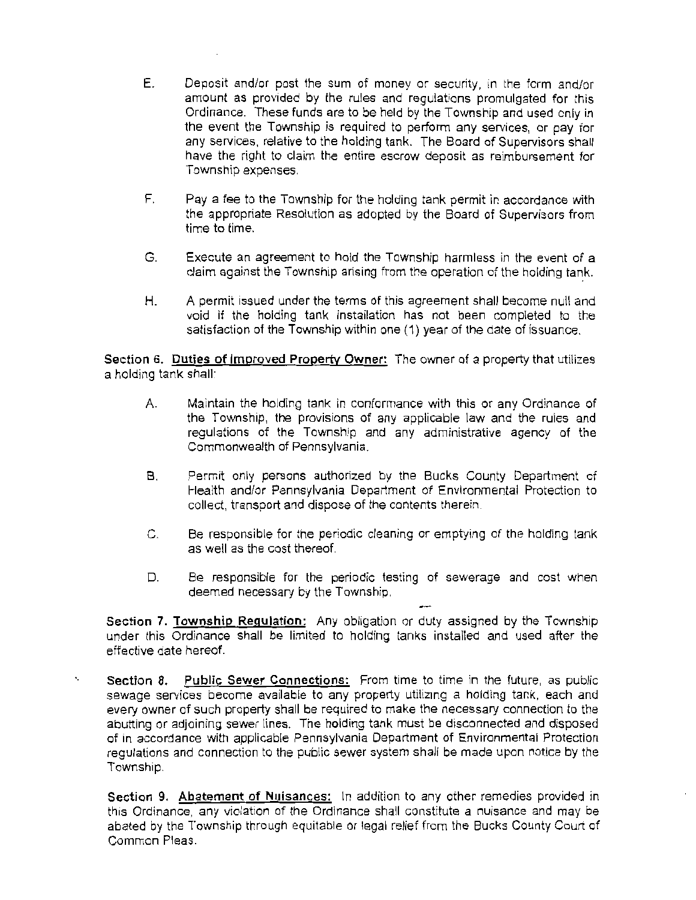- E. Deposit and/or post the sum of money or security, in the form and/or amount as provided by the rules and regulations promulgated for this Ordinance. These funds are to be held by the Township and used only in the event the Township is required to perform any services, or pay for any services, relative to the holding tank. The Board of Supervisors shall have the right to claim the entire escrow deposit as reimbursement for Township expenses.
- F. Pay a fee to the Township for the holding tank permit in accordance with the appropriate Resolution as adopted by the Board of Supervisors from time to time.
- G. Execute an agreement to hold the Township harmless in the event of a claim against the Township arising from the operation of the holding tank.
- H. A permit issued under the terms of this agreement shall become null and void if the holding tank installation has not been completed to the satisfaction of the Township within one (1) year of the date of issuance.

**Section 6. Duties of Improved Property Owner:** The owner of a property that utilizes a holding tank shall:

- A. Maintain the holding tank in conformance with this or any Ordinance of the Township, the provisions of any applicable law and the rules and regulations of the Township and any administrative agency of the Commonwealth of Pennsylvania.
- 8. Permit only persons authorized by the Bucks County Department of Health and/or Pennsylvania Department of Environmental Protection to collect, transport and dispose of the contents therein.
- C. Be responsible for the periodic cleaning or emptying of the holding tank as well as the cost thereof.
- D. Be responsible for the periodic testing of sewerage and cost when deemed necessary by the Township.

- **Section 7. Township Regulation:** Any obligation or duty assigned by the Township under this Ordinance shall be limited to holding tanks installed and used after the effective date hereof.

**Section 8. Public Sewer Connections:** From time to time in the future, as public sewage services become available to any property utilizing a holding tank, each and every owner of such property shall be required to make the necessary connection to the abutting or adjoining sewer lines. The holding tank must be disconnected and disposed of in accordance with applicable Pennsylvania Department of Environmental Protection regulations and connection to the public sewer system shall be made upon notice by the Township.

**Section 9. Abatement of Nuisances:** In addition to any other remedies provided in this Ordinance, any violation of the Ordinance shall constitute a nuisance and may be abated by the Township through equitable or legal relief from the Bucks County Court of Common Pleas.